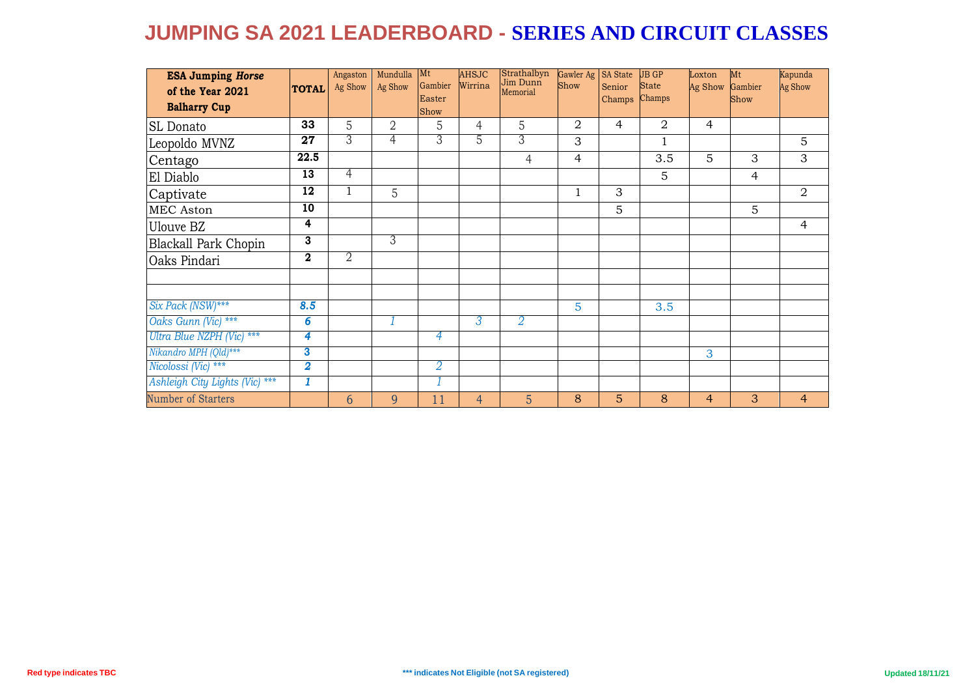| <b>ESA Jumping Horse</b><br>of the Year 2021 | <b>TOTAL</b>            | Angaston<br>Ag Show | Mundulla<br>Ag Show | Mt<br>Gambier<br>Easter | <b>AHSJC</b><br>Wirrina | Strathalbyn<br>Jim Dunn<br>Memorial | Gawler Ag<br>Show | <b>SA</b> State<br>Senior<br>Champs | <b>JB GP</b><br><b>State</b><br>Champs | Loxton<br>Ag Show | Mt<br>Gambier<br>Show | Kapunda<br>Ag Show |
|----------------------------------------------|-------------------------|---------------------|---------------------|-------------------------|-------------------------|-------------------------------------|-------------------|-------------------------------------|----------------------------------------|-------------------|-----------------------|--------------------|
| <b>Balharry Cup</b>                          |                         |                     |                     | Show                    |                         |                                     |                   |                                     |                                        |                   |                       |                    |
| SL Donato                                    | 33                      | 5                   | $\overline{2}$      | 5                       | 4                       | 5                                   | 2                 | 4                                   | 2                                      | 4                 |                       |                    |
| Leopoldo MVNZ                                | $\overline{27}$         | 3                   | 4                   | 3                       | 5                       | 3                                   | 3                 |                                     | $\mathbf{1}$                           |                   |                       | 5                  |
| Centago                                      | 22.5                    |                     |                     |                         |                         | $\overline{4}$                      | $\overline{4}$    |                                     | 3.5                                    | 5                 | 3                     | 3                  |
| El Diablo                                    | $\overline{13}$         | $\overline{4}$      |                     |                         |                         |                                     |                   |                                     | 5                                      |                   | 4                     |                    |
| Captivate                                    | $\overline{12}$         | 1                   | 5                   |                         |                         |                                     | 1                 | 3                                   |                                        |                   |                       | $\overline{2}$     |
| MEC Aston                                    | 10                      |                     |                     |                         |                         |                                     |                   | 5                                   |                                        |                   | 5                     |                    |
| Ulouve BZ                                    | 4                       |                     |                     |                         |                         |                                     |                   |                                     |                                        |                   |                       | 4                  |
| Blackall Park Chopin                         | $\overline{\mathbf{3}}$ |                     | 3                   |                         |                         |                                     |                   |                                     |                                        |                   |                       |                    |
| Oaks Pindari                                 | $\boldsymbol{2}$        | 2                   |                     |                         |                         |                                     |                   |                                     |                                        |                   |                       |                    |
|                                              |                         |                     |                     |                         |                         |                                     |                   |                                     |                                        |                   |                       |                    |
|                                              |                         |                     |                     |                         |                         |                                     |                   |                                     |                                        |                   |                       |                    |
| Six Pack (NSW)***                            | 8.5                     |                     |                     |                         |                         |                                     | 5                 |                                     | 3.5                                    |                   |                       |                    |
| Oaks Gunn (Vic) ***                          | 6                       |                     |                     |                         | 3                       | 2                                   |                   |                                     |                                        |                   |                       |                    |
| Ultra Blue NZPH (Vic) ***                    | 4                       |                     |                     | 4                       |                         |                                     |                   |                                     |                                        |                   |                       |                    |
| Nikandro MPH (Qld)***                        | 3                       |                     |                     |                         |                         |                                     |                   |                                     |                                        | 3                 |                       |                    |
| Nicolossi (Vic) ***                          | $\overline{\mathbf{2}}$ |                     |                     | 2                       |                         |                                     |                   |                                     |                                        |                   |                       |                    |
| Ashleigh City Lights (Vic) ***               | 1                       |                     |                     |                         |                         |                                     |                   |                                     |                                        |                   |                       |                    |
| Number of Starters                           |                         | $\overline{6}$      | 9                   | 11                      | $\overline{4}$          | 5 <sup>5</sup>                      | 8                 | 5                                   | 8                                      | $\overline{4}$    | 3                     | $\overline{4}$     |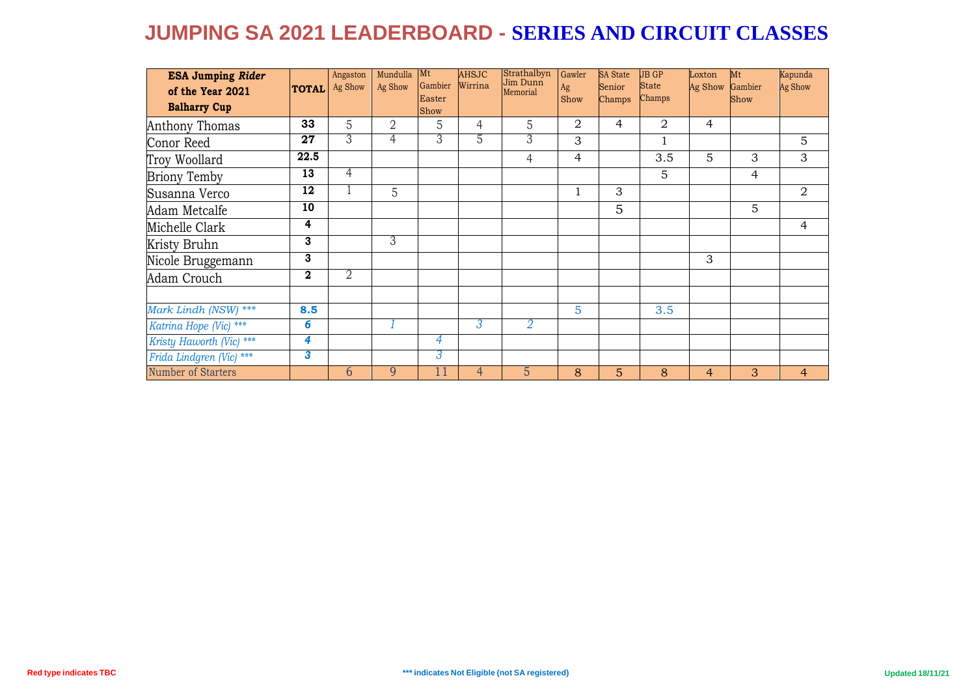| <b>ESA Jumping Rider</b><br>of the Year 2021<br><b>Balharry Cup</b> | <b>TOTAL</b>     | Angaston<br>Ag Show | Mundulla<br>Ag Show | <b>Mt</b><br>Gambier<br>Easter<br>Show | <b>AHSJC</b><br>Wirrina | Strathalbyn<br>Jim Dunn<br>Memorial | Gawler<br>Ag<br>Show | <b>SA</b> State<br>Senior<br>Champs | <b>JB GP</b><br><b>State</b><br>Champs | Loxton<br>Ag Show | Mt<br>Gambier<br>Show | Kapunda<br>Ag Show |
|---------------------------------------------------------------------|------------------|---------------------|---------------------|----------------------------------------|-------------------------|-------------------------------------|----------------------|-------------------------------------|----------------------------------------|-------------------|-----------------------|--------------------|
| Anthony Thomas                                                      | 33               | 5                   | $\overline{2}$      | 5                                      | 4                       | 5                                   | 2                    | $\overline{4}$                      | 2                                      | $\overline{4}$    |                       |                    |
| Conor Reed                                                          | 27               | 3                   | 4                   | 3                                      | ა                       | 3                                   | 3                    |                                     |                                        |                   |                       | $\overline{5}$     |
| Troy Woollard                                                       | 22.5             |                     |                     |                                        |                         | $\overline{4}$                      | $\overline{4}$       |                                     | 3.5                                    | 5                 | 3                     | 3                  |
| <b>Briony Temby</b>                                                 | 13               | 4                   |                     |                                        |                         |                                     |                      |                                     | 5                                      |                   | $\overline{4}$        |                    |
| Susanna Verco                                                       | 12               |                     | 5                   |                                        |                         |                                     | $\mathbf{1}$         | 3                                   |                                        |                   |                       | $\overline{2}$     |
| Adam Metcalfe                                                       | 10               |                     |                     |                                        |                         |                                     |                      | 5                                   |                                        |                   | 5                     |                    |
| Michelle Clark                                                      | 4                |                     |                     |                                        |                         |                                     |                      |                                     |                                        |                   |                       | 4                  |
| Kristy Bruhn                                                        | 3                |                     | 3                   |                                        |                         |                                     |                      |                                     |                                        |                   |                       |                    |
| Nicole Bruggemann                                                   | 3                |                     |                     |                                        |                         |                                     |                      |                                     |                                        | 3                 |                       |                    |
| Adam Crouch                                                         | $\boldsymbol{2}$ | $\overline{2}$      |                     |                                        |                         |                                     |                      |                                     |                                        |                   |                       |                    |
| Mark Lindh (NSW) ***                                                | 8.5              |                     |                     |                                        |                         |                                     | 5                    |                                     | 3.5                                    |                   |                       |                    |
| Katrina Hope (Vic) ***                                              | 6                |                     |                     |                                        | 3                       | 2                                   |                      |                                     |                                        |                   |                       |                    |
| Kristy Haworth (Vic) ***                                            | 4                |                     |                     | 4                                      |                         |                                     |                      |                                     |                                        |                   |                       |                    |
| Frida Lindgren (Vic) ***                                            | 3                |                     |                     | 3                                      |                         |                                     |                      |                                     |                                        |                   |                       |                    |
| Number of Starters                                                  |                  | $\overline{6}$      | 9                   | $\overline{11}$                        | $\overline{4}$          | 5                                   | 8                    | 5                                   | 8                                      | 4                 | 3                     | $\overline{4}$     |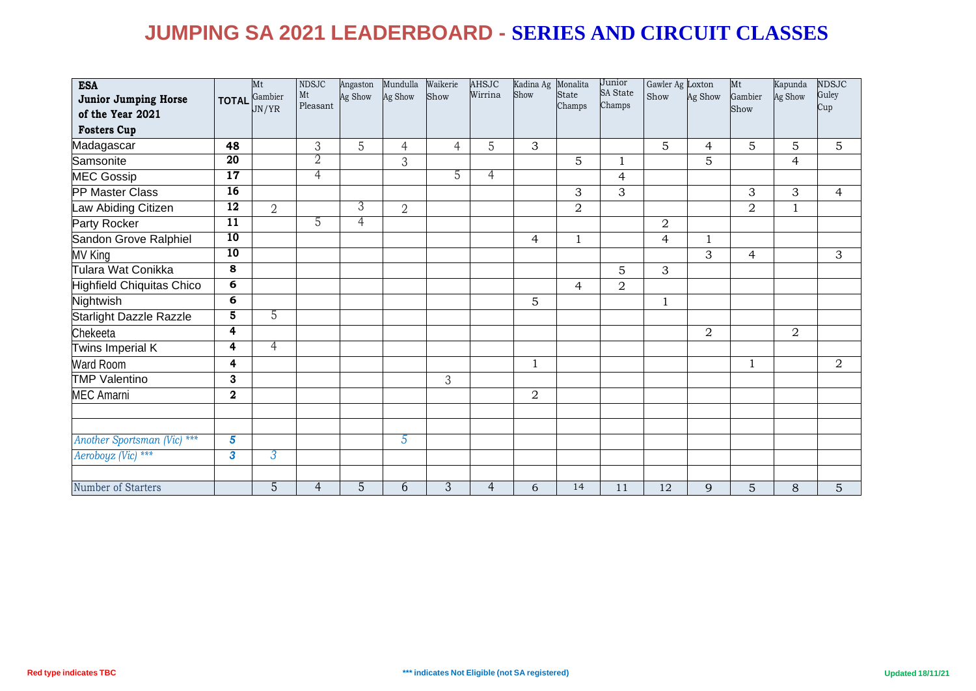| <b>ESA</b>                  |                 | Mt<br>Gambier  | <b>NDSJC</b><br>Mt | Angaston<br>Ag Show | Mundulla<br>Ag Show | Waikerie<br>Show | <b>AHSJC</b><br>Wirrina | Kadina Ag Monalita<br>Show | State          | Junior<br><b>SA State</b> | Gawler Ag Loxton<br>Show | Ag Show        | Mt<br>Gambier  | Kapunda<br>Ag Show | <b>NDSJC</b><br>Guley |
|-----------------------------|-----------------|----------------|--------------------|---------------------|---------------------|------------------|-------------------------|----------------------------|----------------|---------------------------|--------------------------|----------------|----------------|--------------------|-----------------------|
| Junior Jumping Horse        | <b>TOTAL</b>    | JN/YR          | Pleasant           |                     |                     |                  |                         |                            | Champs         | Champs                    |                          |                | Show           |                    | Cup                   |
| of the Year 2021            |                 |                |                    |                     |                     |                  |                         |                            |                |                           |                          |                |                |                    |                       |
| <b>Fosters Cup</b>          |                 |                |                    |                     |                     |                  |                         |                            |                |                           |                          |                |                |                    |                       |
| Madagascar                  | 48              |                | 3                  | 5                   | $\overline{4}$      | $\overline{4}$   | 5                       | 3                          |                |                           | 5                        | 4              | 5              | 5                  | 5                     |
| Samsonite                   | $\overline{20}$ |                | 2                  |                     | 3                   |                  |                         |                            | 5              | $\mathbf{1}$              |                          | 5              |                | $\overline{4}$     |                       |
| <b>MEC Gossip</b>           | 17              |                | 4                  |                     |                     | 5                | 4                       |                            |                | $\overline{4}$            |                          |                |                |                    |                       |
| <b>PP Master Class</b>      | 16              |                |                    |                     |                     |                  |                         |                            | 3              | 3                         |                          |                | 3              | 3                  | $\overline{4}$        |
| Law Abiding Citizen         | $\overline{12}$ | $\overline{2}$ |                    | 3                   | $\overline{2}$      |                  |                         |                            | $\overline{2}$ |                           |                          |                | $\overline{2}$ | $\mathbf{1}$       |                       |
| Party Rocker                | $\overline{11}$ |                | 5                  | 4                   |                     |                  |                         |                            |                |                           | $\overline{2}$           |                |                |                    |                       |
| Sandon Grove Ralphiel       | 10              |                |                    |                     |                     |                  |                         | 4                          | $\mathbf{1}$   |                           | $\overline{4}$           | 1              |                |                    |                       |
| <b>MV King</b>              | 10              |                |                    |                     |                     |                  |                         |                            |                |                           |                          | 3              | 4              |                    | 3                     |
| Tulara Wat Conikka          | 8               |                |                    |                     |                     |                  |                         |                            |                | $\mathbf 5$               | 3                        |                |                |                    |                       |
| Highfield Chiquitas Chico   | 6               |                |                    |                     |                     |                  |                         |                            | $\overline{4}$ | $\overline{2}$            |                          |                |                |                    |                       |
| Nightwish                   | $\overline{6}$  |                |                    |                     |                     |                  |                         | 5                          |                |                           | $\mathbf{1}$             |                |                |                    |                       |
| Starlight Dazzle Razzle     | 5               | 5              |                    |                     |                     |                  |                         |                            |                |                           |                          |                |                |                    |                       |
| Chekeeta                    | 4               |                |                    |                     |                     |                  |                         |                            |                |                           |                          | $\overline{2}$ |                | $\overline{a}$     |                       |
| Twins Imperial K            | 4               | $\overline{4}$ |                    |                     |                     |                  |                         |                            |                |                           |                          |                |                |                    |                       |
| <b>Ward Room</b>            | 4               |                |                    |                     |                     |                  |                         | $\mathbf 1$                |                |                           |                          |                | $\mathbf{1}$   |                    | $\overline{a}$        |
| <b>TMP</b> Valentino        | 3               |                |                    |                     |                     | 3                |                         |                            |                |                           |                          |                |                |                    |                       |
| <b>MEC Amarni</b>           | $\mathbf 2$     |                |                    |                     |                     |                  |                         | $\overline{2}$             |                |                           |                          |                |                |                    |                       |
|                             |                 |                |                    |                     |                     |                  |                         |                            |                |                           |                          |                |                |                    |                       |
|                             |                 |                |                    |                     |                     |                  |                         |                            |                |                           |                          |                |                |                    |                       |
| Another Sportsman (Vic) *** | $\sqrt{5}$      |                |                    |                     | $5\overline{)}$     |                  |                         |                            |                |                           |                          |                |                |                    |                       |
| Aeroboyz (Vic) ***          | 3               | 3              |                    |                     |                     |                  |                         |                            |                |                           |                          |                |                |                    |                       |
|                             |                 |                |                    |                     |                     |                  |                         |                            |                |                           |                          |                |                |                    |                       |
| Number of Starters          |                 | $\overline{5}$ | $\overline{4}$     | 5                   | 6                   | 3                | 4                       | 6                          | 14             | 11                        | 12                       | 9              | $\overline{5}$ | 8                  | 5                     |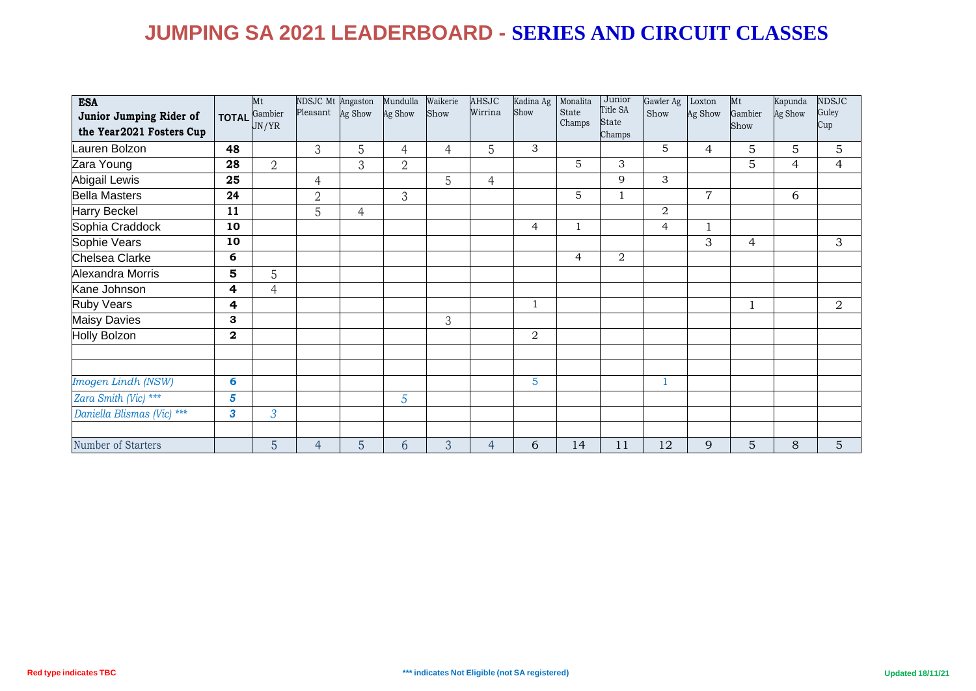| <b>ESA</b><br>Junior Jumping Rider of<br>the Year2021 Fosters Cup | <b>TOTAL</b>   | Mt<br>Gambier<br>JN/YR | NDSJC Mt Angaston<br>Pleasant Ag Show |                | Mundulla<br>Ag Show | Waikerie<br>Show | <b>AHSJC</b><br>Wirrina | Kadina Ag<br>Show | Monalita<br>State<br>Champs | Junior<br>Title SA<br><b>State</b><br>Champs | Gawler Ag<br>Show | Loxton<br>Ag Show | Mt<br>Gambier<br>Show | Kapunda<br>Ag Show | <b>NDSJC</b><br>Guley<br>Cup |
|-------------------------------------------------------------------|----------------|------------------------|---------------------------------------|----------------|---------------------|------------------|-------------------------|-------------------|-----------------------------|----------------------------------------------|-------------------|-------------------|-----------------------|--------------------|------------------------------|
| Lauren Bolzon                                                     | 48             |                        | 3                                     | 5              | 4                   | $\overline{4}$   | 5                       | 3                 |                             |                                              | 5                 | 4                 | 5                     | 5                  | 5                            |
| Zara Young                                                        | 28             | $\overline{2}$         |                                       | 3              | $\overline{2}$      |                  |                         |                   | 5                           | 3                                            |                   |                   | 5                     | $\overline{4}$     | $\overline{4}$               |
| <b>Abigail Lewis</b>                                              | 25             |                        | $\overline{4}$                        |                |                     | 5                | 4                       |                   |                             | 9                                            | 3                 |                   |                       |                    |                              |
| <b>Bella Masters</b>                                              | 24             |                        | $\overline{2}$                        |                | 3                   |                  |                         |                   | 5                           | $\mathbf{1}$                                 |                   | $\overline{7}$    |                       | 6                  |                              |
| Harry Beckel                                                      | 11             |                        | 5                                     | $\overline{4}$ |                     |                  |                         |                   |                             |                                              | 2                 |                   |                       |                    |                              |
| Sophia Craddock                                                   | 10             |                        |                                       |                |                     |                  |                         | $\overline{4}$    | $\mathbf{1}$                |                                              | 4                 | $\mathbf{1}$      |                       |                    |                              |
| Sophie Vears                                                      | 10             |                        |                                       |                |                     |                  |                         |                   |                             |                                              |                   | 3                 | $\overline{4}$        |                    | 3                            |
| Chelsea Clarke                                                    | 6              |                        |                                       |                |                     |                  |                         |                   | $\overline{4}$              | $\overline{2}$                               |                   |                   |                       |                    |                              |
| Alexandra Morris                                                  | 5              | 5                      |                                       |                |                     |                  |                         |                   |                             |                                              |                   |                   |                       |                    |                              |
| Kane Johnson                                                      | 4              | $\overline{4}$         |                                       |                |                     |                  |                         |                   |                             |                                              |                   |                   |                       |                    |                              |
| <b>Ruby Vears</b>                                                 | 4              |                        |                                       |                |                     |                  |                         | $\mathbf{1}$      |                             |                                              |                   |                   | $\mathbf{1}$          |                    | $\overline{2}$               |
| <b>Maisy Davies</b>                                               | 3              |                        |                                       |                |                     | 3                |                         |                   |                             |                                              |                   |                   |                       |                    |                              |
| Holly Bolzon                                                      | $\mathbf{2}$   |                        |                                       |                |                     |                  |                         | 2                 |                             |                                              |                   |                   |                       |                    |                              |
|                                                                   |                |                        |                                       |                |                     |                  |                         |                   |                             |                                              |                   |                   |                       |                    |                              |
|                                                                   |                |                        |                                       |                |                     |                  |                         |                   |                             |                                              |                   |                   |                       |                    |                              |
| Imogen Lindh (NSW)                                                | 6              |                        |                                       |                |                     |                  |                         | $\overline{5}$    |                             |                                              | $\mathbf{1}$      |                   |                       |                    |                              |
| Zara Smith (Vic) ***                                              | $5\phantom{1}$ |                        |                                       |                | 5                   |                  |                         |                   |                             |                                              |                   |                   |                       |                    |                              |
| Daniella Blismas (Vic) ***                                        | 3              | $\mathfrak{Z}$         |                                       |                |                     |                  |                         |                   |                             |                                              |                   |                   |                       |                    |                              |
|                                                                   |                |                        |                                       |                |                     |                  |                         |                   |                             |                                              |                   |                   |                       |                    |                              |
| Number of Starters                                                |                | 5                      | $\overline{4}$                        | 5              | 6                   | 3                | $\overline{4}$          | 6                 | 14                          | 11                                           | 12                | 9                 | 5                     | 8                  | $\overline{5}$               |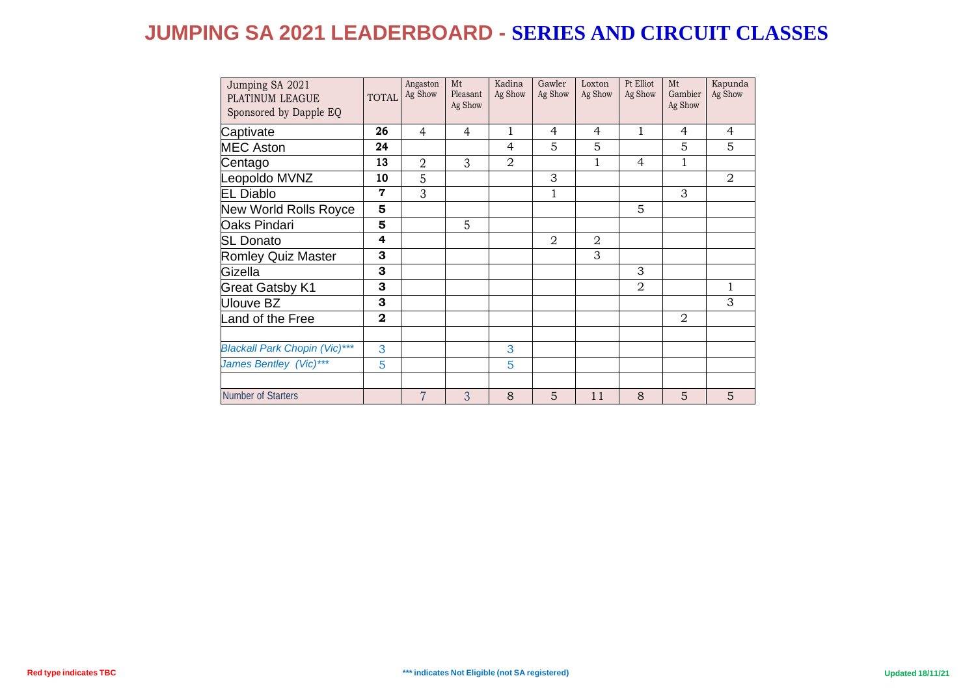| Jumping SA 2021<br>PLATINUM LEAGUE<br>Sponsored by Dapple EQ | <b>TOTAL</b> | Angaston<br>Ag Show | Mt<br>Pleasant<br>Ag Show | Kadina<br>Ag Show | Gawler<br>Ag Show | Loxton<br>Ag Show | Pt Elliot<br>Ag Show | Mt<br>Gambier<br>Ag Show | Kapunda<br>Ag Show |
|--------------------------------------------------------------|--------------|---------------------|---------------------------|-------------------|-------------------|-------------------|----------------------|--------------------------|--------------------|
| Captivate                                                    | 26           | 4                   | 4                         | 1                 | $\overline{4}$    | $\overline{4}$    | 1                    | $\overline{4}$           | 4                  |
| <b>MEC Aston</b>                                             | 24           |                     |                           | 4                 | 5                 | 5                 |                      | 5                        | 5                  |
| Centago                                                      | 13           | $\overline{2}$      | 3                         | $\overline{2}$    |                   | 1                 | 4                    | 1                        |                    |
| Leopoldo MVNZ                                                | 10           | 5                   |                           |                   | 3                 |                   |                      |                          | $\overline{2}$     |
| <b>EL Diablo</b>                                             | $\mathbf 7$  | 3                   |                           |                   | $\mathbf 1$       |                   |                      | 3                        |                    |
| New World Rolls Royce                                        | 5            |                     |                           |                   |                   |                   | 5                    |                          |                    |
| Oaks Pindari                                                 | 5            |                     | 5                         |                   |                   |                   |                      |                          |                    |
| <b>SL Donato</b>                                             | 4            |                     |                           |                   | $\overline{2}$    | $\overline{2}$    |                      |                          |                    |
| <b>Romley Quiz Master</b>                                    | 3            |                     |                           |                   |                   | 3                 |                      |                          |                    |
| Gizella                                                      | 3            |                     |                           |                   |                   |                   | 3                    |                          |                    |
| <b>Great Gatsby K1</b>                                       | 3            |                     |                           |                   |                   |                   | $\overline{2}$       |                          | 1                  |
| <b>Ulouve BZ</b>                                             | 3            |                     |                           |                   |                   |                   |                      |                          | 3                  |
| Land of the Free                                             | $\mathbf{2}$ |                     |                           |                   |                   |                   |                      | 2                        |                    |
|                                                              |              |                     |                           |                   |                   |                   |                      |                          |                    |
| <b>Blackall Park Chopin (Vic)***</b>                         | 3            |                     |                           | 3                 |                   |                   |                      |                          |                    |
| James Bentley (Vic)***                                       | 5            |                     |                           | 5                 |                   |                   |                      |                          |                    |
|                                                              |              |                     |                           |                   |                   |                   |                      |                          |                    |
| Number of Starters                                           |              | $\overline{7}$      | 3                         | 8                 | 5                 | 11                | 8                    | 5                        | 5                  |